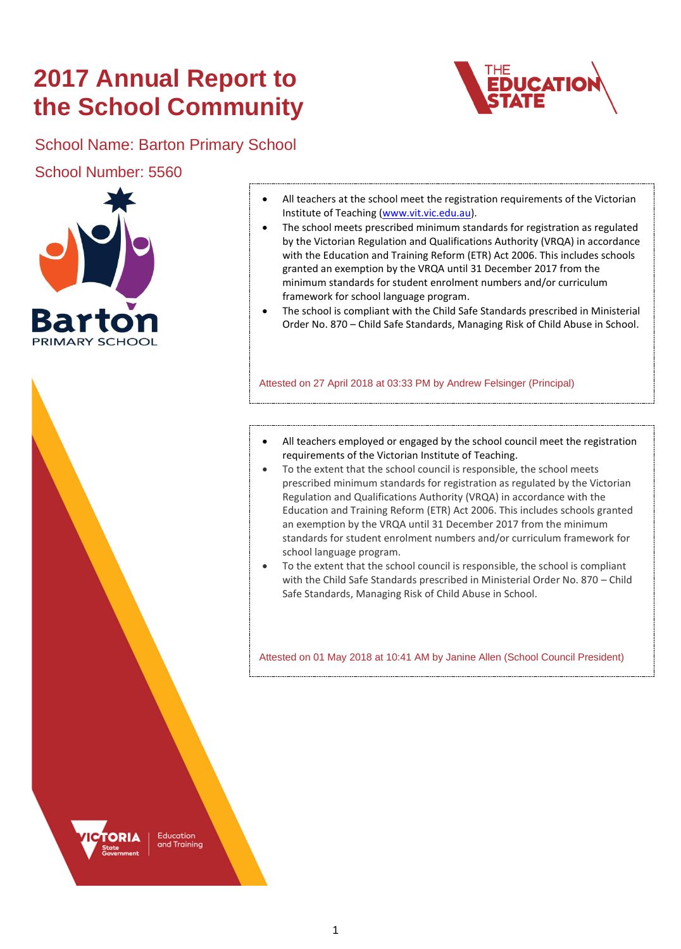# **2017 Annual Report to the School Community**



School Name: Barton Primary School

School Number: 5560



- All teachers at the school meet the registration requirements of the Victorian Institute of Teaching [\(www.vit.vic.edu.au\)](https://www.vit.vic.edu.au/).
- The school meets prescribed minimum standards for registration as regulated by the Victorian Regulation and Qualifications Authority (VRQA) in accordance with the Education and Training Reform (ETR) Act 2006. This includes schools granted an exemption by the VRQA until 31 December 2017 from the minimum standards for student enrolment numbers and/or curriculum framework for school language program.
- The school is compliant with the Child Safe Standards prescribed in Ministerial Order No. 870 – Child Safe Standards, Managing Risk of Child Abuse in School.

Attested on 27 April 2018 at 03:33 PM by Andrew Felsinger (Principal)

- All teachers employed or engaged by the school council meet the registration requirements of the Victorian Institute of Teaching.
- To the extent that the school council is responsible, the school meets prescribed minimum standards for registration as regulated by the Victorian Regulation and Qualifications Authority (VRQA) in accordance with the Education and Training Reform (ETR) Act 2006. This includes schools granted an exemption by the VRQA until 31 December 2017 from the minimum standards for student enrolment numbers and/or curriculum framework for school language program.
- To the extent that the school council is responsible, the school is compliant with the Child Safe Standards prescribed in Ministerial Order No. 870 – Child Safe Standards, Managing Risk of Child Abuse in School.

Attested on 01 May 2018 at 10:41 AM by Janine Allen (School Council President)



Education d Training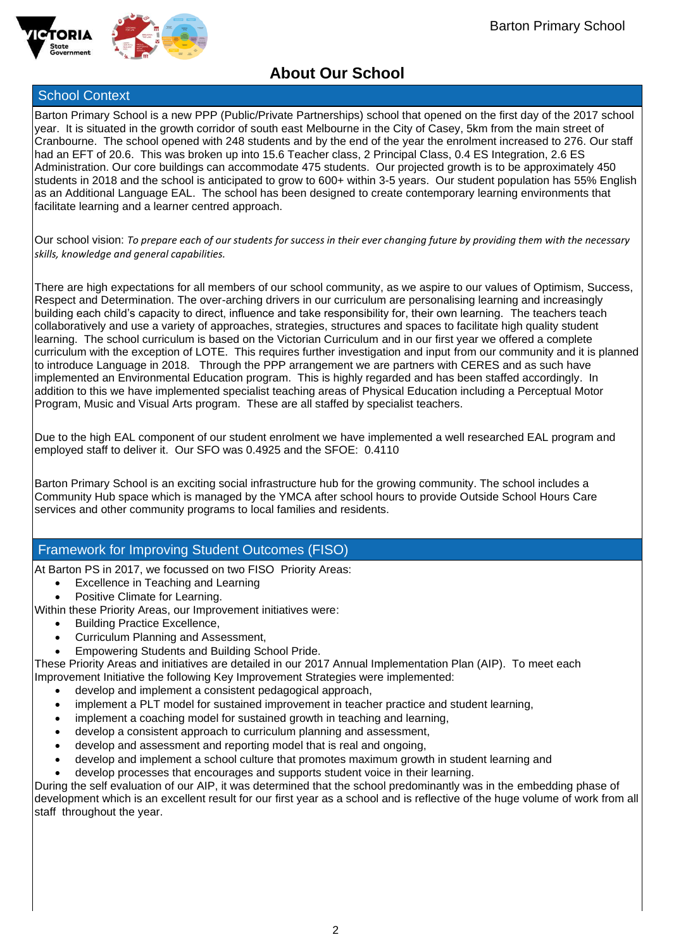



## **About Our School**

## School Context

Barton Primary School is a new PPP (Public/Private Partnerships) school that opened on the first day of the 2017 school year. It is situated in the growth corridor of south east Melbourne in the City of Casey, 5km from the main street of Cranbourne. The school opened with 248 students and by the end of the year the enrolment increased to 276. Our staff had an EFT of 20.6. This was broken up into 15.6 Teacher class, 2 Principal Class, 0.4 ES Integration, 2.6 ES Administration. Our core buildings can accommodate 475 students. Our projected growth is to be approximately 450 students in 2018 and the school is anticipated to grow to 600+ within 3-5 years. Our student population has 55% English as an Additional Language EAL. The school has been designed to create contemporary learning environments that facilitate learning and a learner centred approach.

Our school vision: *To prepare each of our students for success in their ever changing future by providing them with the necessary skills, knowledge and general capabilities.* 

There are high expectations for all members of our school community, as we aspire to our values of Optimism, Success, Respect and Determination. The over-arching drivers in our curriculum are personalising learning and increasingly building each child's capacity to direct, influence and take responsibility for, their own learning. The teachers teach collaboratively and use a variety of approaches, strategies, structures and spaces to facilitate high quality student learning. The school curriculum is based on the Victorian Curriculum and in our first year we offered a complete curriculum with the exception of LOTE. This requires further investigation and input from our community and it is planned to introduce Language in 2018. Through the PPP arrangement we are partners with CERES and as such have implemented an Environmental Education program. This is highly regarded and has been staffed accordingly. In addition to this we have implemented specialist teaching areas of Physical Education including a Perceptual Motor Program, Music and Visual Arts program. These are all staffed by specialist teachers.

Due to the high EAL component of our student enrolment we have implemented a well researched EAL program and employed staff to deliver it. Our SFO was 0.4925 and the SFOE: 0.4110

Barton Primary School is an exciting social infrastructure hub for the growing community. The school includes a Community Hub space which is managed by the YMCA after school hours to provide Outside School Hours Care services and other community programs to local families and residents.

## Framework for Improving Student Outcomes (FISO)

At Barton PS in 2017, we focussed on two FISO Priority Areas:

- Excellence in Teaching and Learning
- Positive Climate for Learning.

Within these Priority Areas, our Improvement initiatives were:

- Building Practice Excellence,
- Curriculum Planning and Assessment,
- Empowering Students and Building School Pride.

These Priority Areas and initiatives are detailed in our 2017 Annual Implementation Plan (AIP). To meet each Improvement Initiative the following Key Improvement Strategies were implemented:

- develop and implement a consistent pedagogical approach,
- implement a PLT model for sustained improvement in teacher practice and student learning,
- implement a coaching model for sustained growth in teaching and learning,
- develop a consistent approach to curriculum planning and assessment,
- develop and assessment and reporting model that is real and ongoing,
- develop and implement a school culture that promotes maximum growth in student learning and
- develop processes that encourages and supports student voice in their learning.

During the self evaluation of our AIP, it was determined that the school predominantly was in the embedding phase of development which is an excellent result for our first year as a school and is reflective of the huge volume of work from all staff throughout the year.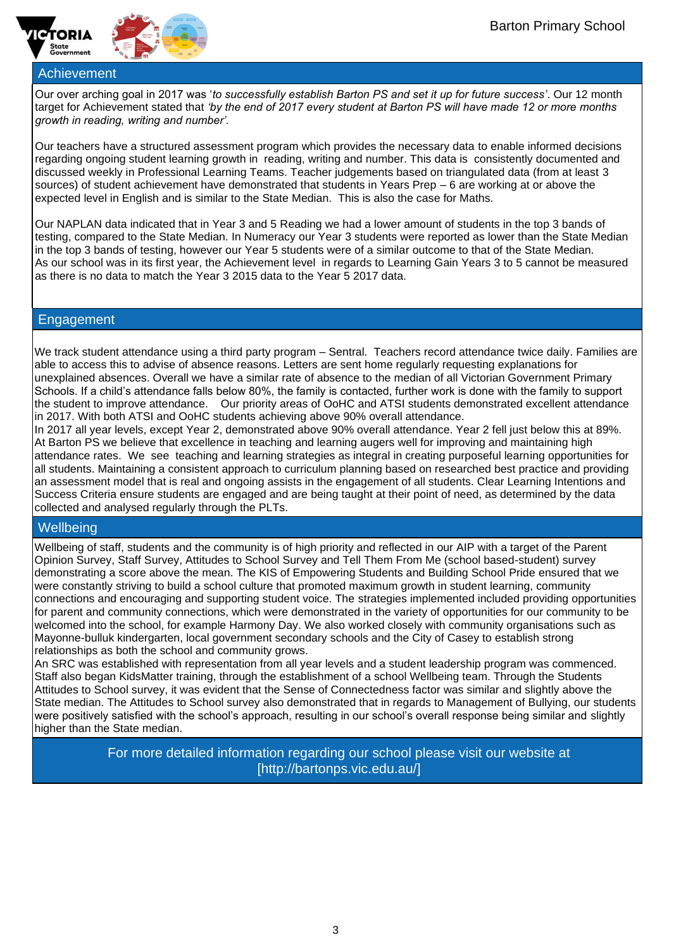



Our over arching goal in 2017 was '*to successfully establish Barton PS and set it up for future success'*. Our 12 month target for Achievement stated that *'by the end of 2017 every student at Barton PS will have made 12 or more months growth in reading, writing and number'.*

Our teachers have a structured assessment program which provides the necessary data to enable informed decisions regarding ongoing student learning growth in reading, writing and number. This data is consistently documented and discussed weekly in Professional Learning Teams. Teacher judgements based on triangulated data (from at least 3 sources) of student achievement have demonstrated that students in Years Prep – 6 are working at or above the expected level in English and is similar to the State Median. This is also the case for Maths.

Our NAPLAN data indicated that in Year 3 and 5 Reading we had a lower amount of students in the top 3 bands of testing, compared to the State Median. In Numeracy our Year 3 students were reported as lower than the State Median in the top 3 bands of testing, however our Year 5 students were of a similar outcome to that of the State Median. As our school was in its first year, the Achievement level in regards to Learning Gain Years 3 to 5 cannot be measured as there is no data to match the Year 3 2015 data to the Year 5 2017 data.

### **Engagement**

We track student attendance using a third party program – Sentral. Teachers record attendance twice daily. Families are able to access this to advise of absence reasons. Letters are sent home regularly requesting explanations for unexplained absences. Overall we have a similar rate of absence to the median of all Victorian Government Primary Schools. If a child's attendance falls below 80%, the family is contacted, further work is done with the family to support the student to improve attendance. Our priority areas of OoHC and ATSI students demonstrated excellent attendance in 2017. With both ATSI and OoHC students achieving above 90% overall attendance.

In 2017 all year levels, except Year 2, demonstrated above 90% overall attendance. Year 2 fell just below this at 89%. At Barton PS we believe that excellence in teaching and learning augers well for improving and maintaining high attendance rates. We see teaching and learning strategies as integral in creating purposeful learning opportunities for all students. Maintaining a consistent approach to curriculum planning based on researched best practice and providing an assessment model that is real and ongoing assists in the engagement of all students. Clear Learning Intentions and Success Criteria ensure students are engaged and are being taught at their point of need, as determined by the data collected and analysed regularly through the PLTs.

## **Wellbeing**

Wellbeing of staff, students and the community is of high priority and reflected in our AIP with a target of the Parent Opinion Survey, Staff Survey, Attitudes to School Survey and Tell Them From Me (school based-student) survey demonstrating a score above the mean. The KIS of Empowering Students and Building School Pride ensured that we were constantly striving to build a school culture that promoted maximum growth in student learning, community connections and encouraging and supporting student voice. The strategies implemented included providing opportunities for parent and community connections, which were demonstrated in the variety of opportunities for our community to be welcomed into the school, for example Harmony Day. We also worked closely with community organisations such as Mayonne-bulluk kindergarten, local government secondary schools and the City of Casey to establish strong relationships as both the school and community grows.

An SRC was established with representation from all year levels and a student leadership program was commenced. Staff also began KidsMatter training, through the establishment of a school Wellbeing team. Through the Students Attitudes to School survey, it was evident that the Sense of Connectedness factor was similar and slightly above the State median. The Attitudes to School survey also demonstrated that in regards to Management of Bullying, our students were positively satisfied with the school's approach, resulting in our school's overall response being similar and slightly higher than the State median.

> For more detailed information regarding our school please visit our website at [http://bartonps.vic.edu.au/]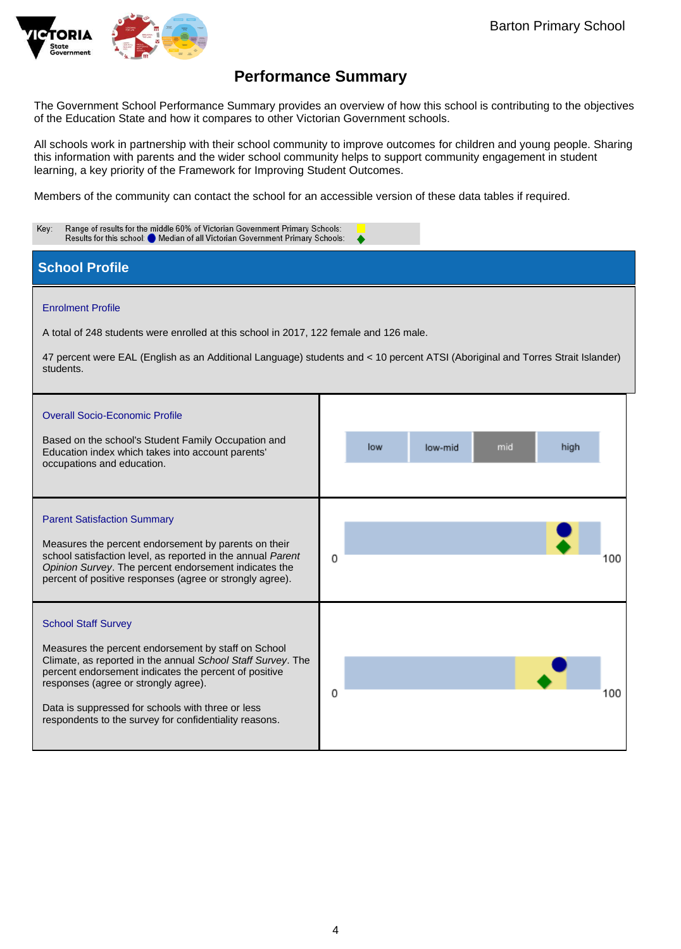

The Government School Performance Summary provides an overview of how this school is contributing to the objectives of the Education State and how it compares to other Victorian Government schools.

All schools work in partnership with their school community to improve outcomes for children and young people. Sharing this information with parents and the wider school community helps to support community engagement in student learning, a key priority of the Framework for Improving Student Outcomes.

Members of the community can contact the school for an accessible version of these data tables if required.

| Range of results for the middle 60% of Victorian Government Primary Schools:<br>Key:<br>Results for this school: Median of all Victorian Government Primary Schools:                                                                                                                                                                                             |                               |  |  |  |  |  |
|------------------------------------------------------------------------------------------------------------------------------------------------------------------------------------------------------------------------------------------------------------------------------------------------------------------------------------------------------------------|-------------------------------|--|--|--|--|--|
| <b>School Profile</b>                                                                                                                                                                                                                                                                                                                                            |                               |  |  |  |  |  |
| <b>Enrolment Profile</b><br>A total of 248 students were enrolled at this school in 2017, 122 female and 126 male.<br>47 percent were EAL (English as an Additional Language) students and < 10 percent ATSI (Aboriginal and Torres Strait Islander)<br>students.                                                                                                |                               |  |  |  |  |  |
| <b>Overall Socio-Economic Profile</b><br>Based on the school's Student Family Occupation and<br>Education index which takes into account parents'<br>occupations and education.                                                                                                                                                                                  | mid<br>low<br>low-mid<br>high |  |  |  |  |  |
| <b>Parent Satisfaction Summary</b><br>Measures the percent endorsement by parents on their<br>school satisfaction level, as reported in the annual Parent<br>Opinion Survey. The percent endorsement indicates the<br>percent of positive responses (agree or strongly agree).                                                                                   | 0<br>100                      |  |  |  |  |  |
| <b>School Staff Survey</b><br>Measures the percent endorsement by staff on School<br>Climate, as reported in the annual School Staff Survey. The<br>percent endorsement indicates the percent of positive<br>responses (agree or strongly agree).<br>Data is suppressed for schools with three or less<br>respondents to the survey for confidentiality reasons. | 0<br>100                      |  |  |  |  |  |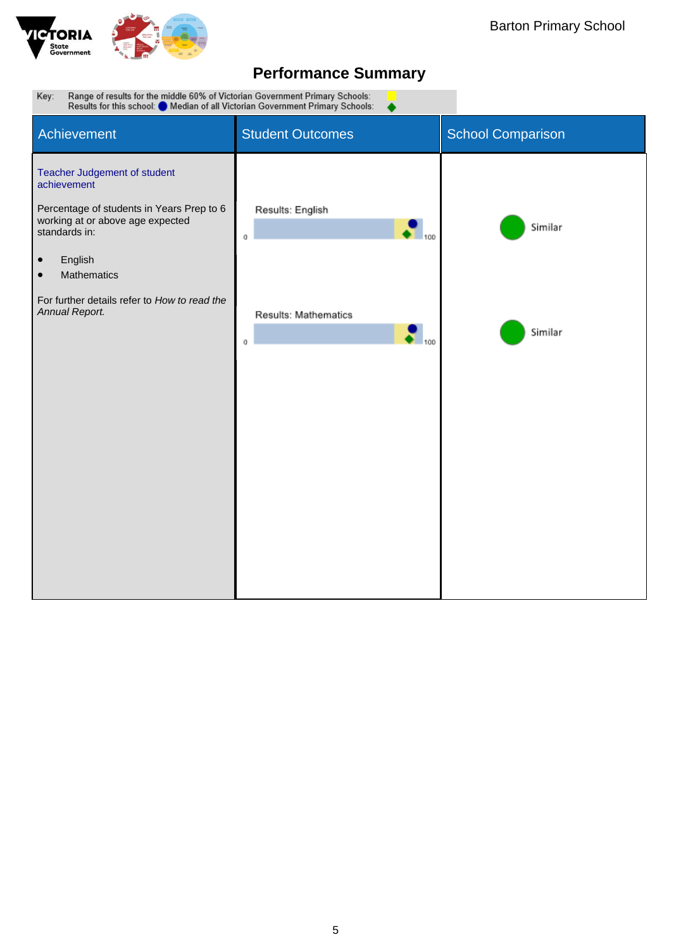

Range of results for the middle 60% of Victorian Government Primary Schools:<br>Results for this school: O Median of all Victorian Government Primary Schools: Key: Student Outcomes Student Outcomes **Achievement** Teacher Judgement of student achievement Percentage of students in Years Prep to 6 Results: English working at or above age expected Similar standards in:  $\mathbf 0$ 100 • English • Mathematics For further details refer to *How to read the Annual Report.* Results: Mathematics  $\bullet$  100 Similar  $\mathbf 0$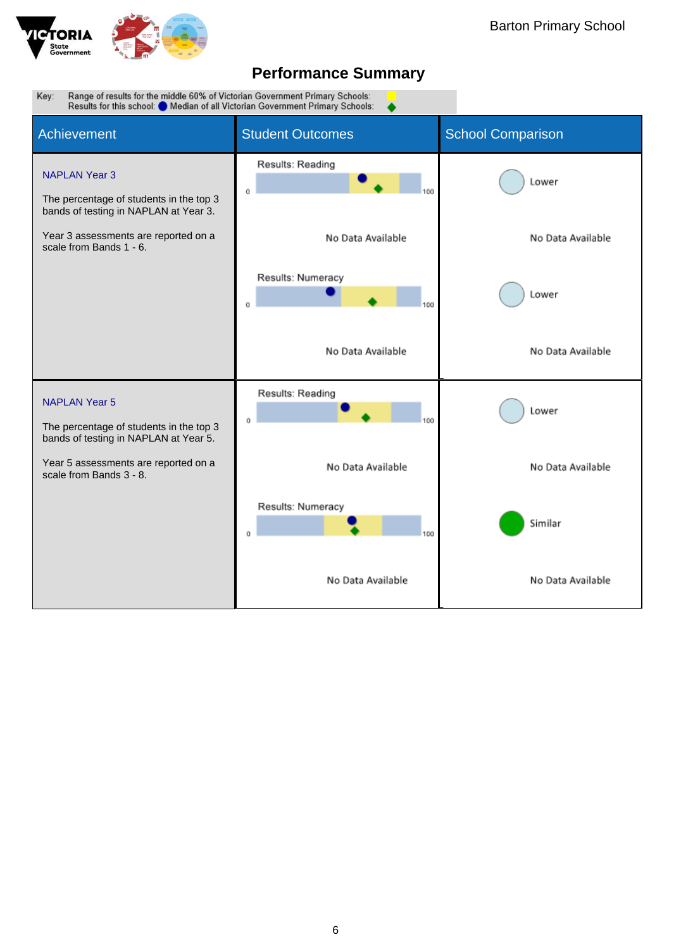

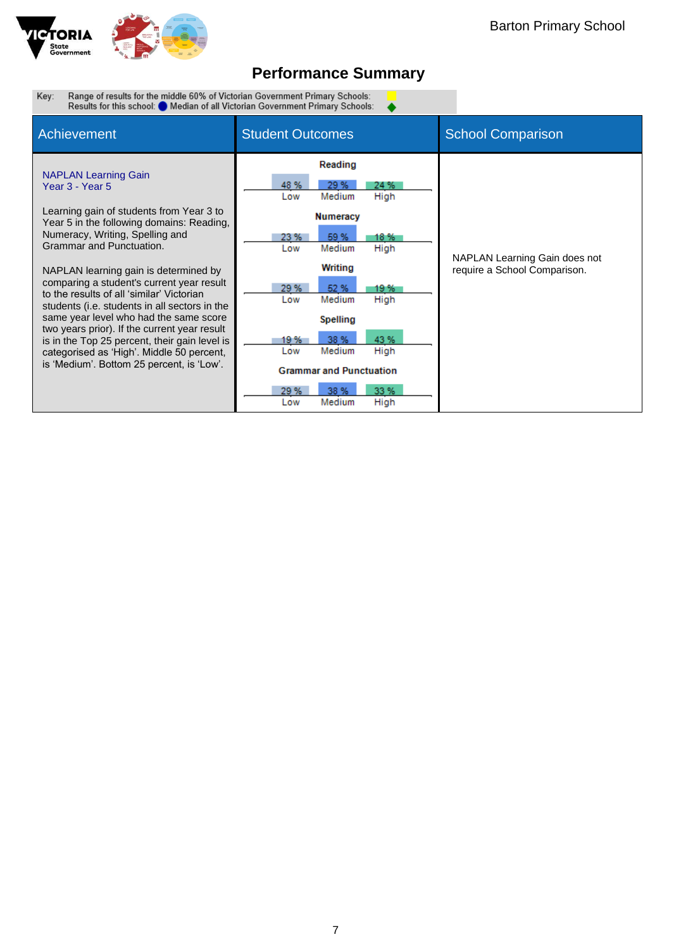

 $\overline{\bullet}$ 

Range of results for the middle 60% of Victorian Government Primary Schools:<br>Results for this school: O Median of all Victorian Government Primary Schools: Key:

| <b>Achievement</b>                                                                                                                                                                                                                                                                                                                                                                                                                                                                                                                                                                                                              | <b>Student Outcomes</b>                                                                                                                                                                                                                               | <b>School Comparison</b>                                      |
|---------------------------------------------------------------------------------------------------------------------------------------------------------------------------------------------------------------------------------------------------------------------------------------------------------------------------------------------------------------------------------------------------------------------------------------------------------------------------------------------------------------------------------------------------------------------------------------------------------------------------------|-------------------------------------------------------------------------------------------------------------------------------------------------------------------------------------------------------------------------------------------------------|---------------------------------------------------------------|
| <b>NAPLAN Learning Gain</b><br>Year 3 - Year 5<br>Learning gain of students from Year 3 to<br>Year 5 in the following domains: Reading,<br>Numeracy, Writing, Spelling and<br>Grammar and Punctuation.<br>NAPLAN learning gain is determined by<br>comparing a student's current year result<br>to the results of all 'similar' Victorian<br>students (i.e. students in all sectors in the<br>same year level who had the same score<br>two years prior). If the current year result<br>is in the Top 25 percent, their gain level is<br>categorised as 'High'. Middle 50 percent,<br>is 'Medium'. Bottom 25 percent, is 'Low'. | Reading<br>29 %<br>48 %<br>24 %<br>Medium<br>High<br>Low<br><b>Numeracy</b><br>59 %<br>18 %<br>23 %<br>High<br>Medium<br>Low<br>Writing<br>29 %<br>52 %<br>19 %<br>Medium<br>High<br>Low<br>Spelling<br>43 %<br>38 %<br>19 %<br>Medium<br>High<br>Low | NAPLAN Learning Gain does not<br>require a School Comparison. |
|                                                                                                                                                                                                                                                                                                                                                                                                                                                                                                                                                                                                                                 | <b>Grammar and Punctuation</b><br>33 %<br>29 %<br>38 %<br>High<br>Medium<br>Low                                                                                                                                                                       |                                                               |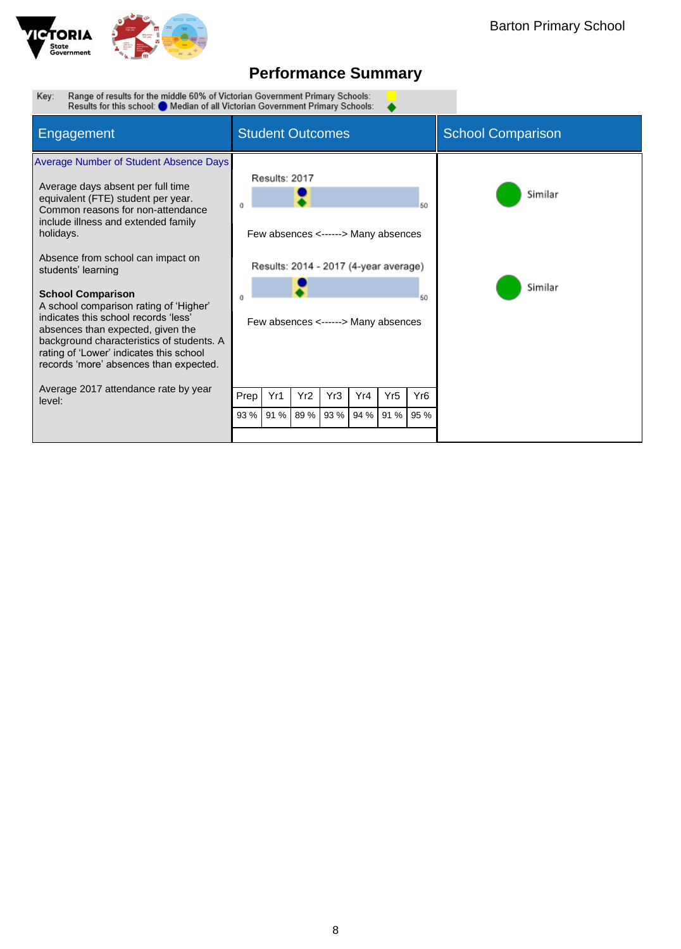

▲

Range of results for the middle 60% of Victorian Government Primary Schools:<br>Results for this school: O Median of all Victorian Government Primary Schools: Key:

| Engagement                                                                                                                                                                                                                                                                                                                                                                                                                                                                                                                                                 | <b>Student Outcomes</b> |               |                 |      |                                                                                                                     |                 | <b>School Comparison</b> |                    |
|------------------------------------------------------------------------------------------------------------------------------------------------------------------------------------------------------------------------------------------------------------------------------------------------------------------------------------------------------------------------------------------------------------------------------------------------------------------------------------------------------------------------------------------------------------|-------------------------|---------------|-----------------|------|---------------------------------------------------------------------------------------------------------------------|-----------------|--------------------------|--------------------|
| Average Number of Student Absence Days<br>Average days absent per full time<br>equivalent (FTE) student per year.<br>Common reasons for non-attendance<br>include illness and extended family<br>holidays.<br>Absence from school can impact on<br>students' learning<br><b>School Comparison</b><br>A school comparison rating of 'Higher'<br>indicates this school records 'less'<br>absences than expected, given the<br>background characteristics of students. A<br>rating of 'Lower' indicates this school<br>records 'more' absences than expected. | $\theta$                | Results: 2017 |                 |      | Few absences <------> Many absences<br>Results: 2014 - 2017 (4-year average)<br>Few absences <------> Many absences |                 | 50<br>50                 | Similar<br>Similar |
| Average 2017 attendance rate by year<br>level:                                                                                                                                                                                                                                                                                                                                                                                                                                                                                                             | Prep                    | Yr1           | Yr <sub>2</sub> | Yr3  | Yr4                                                                                                                 | Yr <sub>5</sub> | Yr <sub>6</sub>          |                    |
|                                                                                                                                                                                                                                                                                                                                                                                                                                                                                                                                                            | 93 %                    | 91 %          | 89%             | 93 % | 94 %                                                                                                                | 91 %            | 95 %                     |                    |
|                                                                                                                                                                                                                                                                                                                                                                                                                                                                                                                                                            |                         |               |                 |      |                                                                                                                     |                 |                          |                    |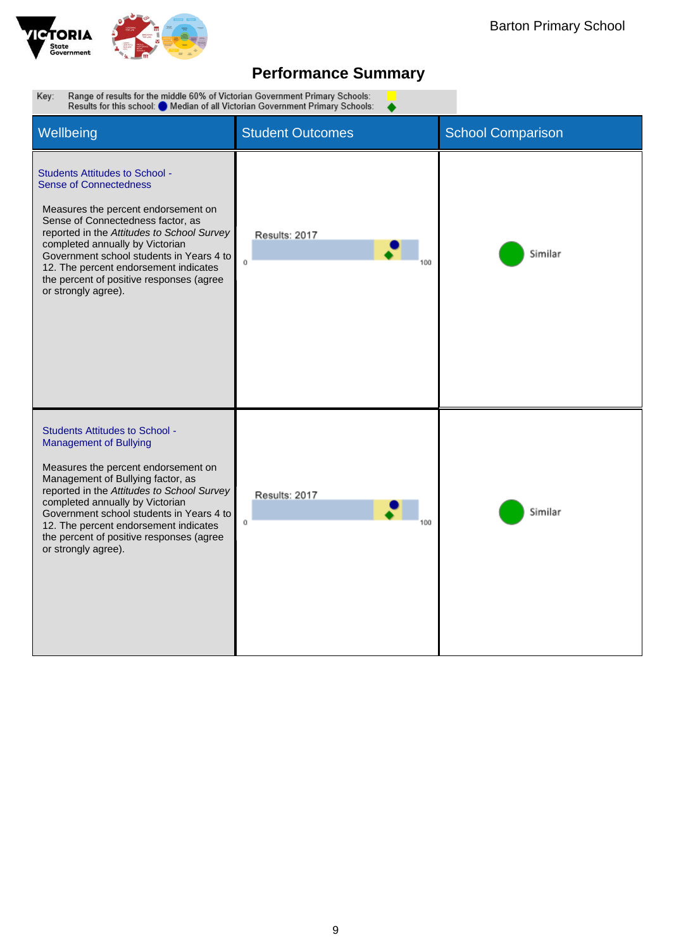

▲

Range of results for the middle 60% of Victorian Government Primary Schools:<br>Results for this school: O Median of all Victorian Government Primary Schools: Key:

| Wellbeing                                                                                                                                                                                                                                                                                                                                                                                   | <b>Student Outcomes</b> | <b>School Comparison</b> |
|---------------------------------------------------------------------------------------------------------------------------------------------------------------------------------------------------------------------------------------------------------------------------------------------------------------------------------------------------------------------------------------------|-------------------------|--------------------------|
| <b>Students Attitudes to School -</b><br><b>Sense of Connectedness</b><br>Measures the percent endorsement on<br>Sense of Connectedness factor, as<br>reported in the Attitudes to School Survey<br>completed annually by Victorian<br>Government school students in Years 4 to<br>12. The percent endorsement indicates<br>the percent of positive responses (agree<br>or strongly agree). | Results: 2017<br>û      | Similar                  |
| <b>Students Attitudes to School -</b><br><b>Management of Bullying</b><br>Measures the percent endorsement on<br>Management of Bullying factor, as<br>reported in the Attitudes to School Survey<br>completed annually by Victorian<br>Government school students in Years 4 to<br>12. The percent endorsement indicates<br>the percent of positive responses (agree<br>or strongly agree). | Results: 2017<br>Ü      | Similar                  |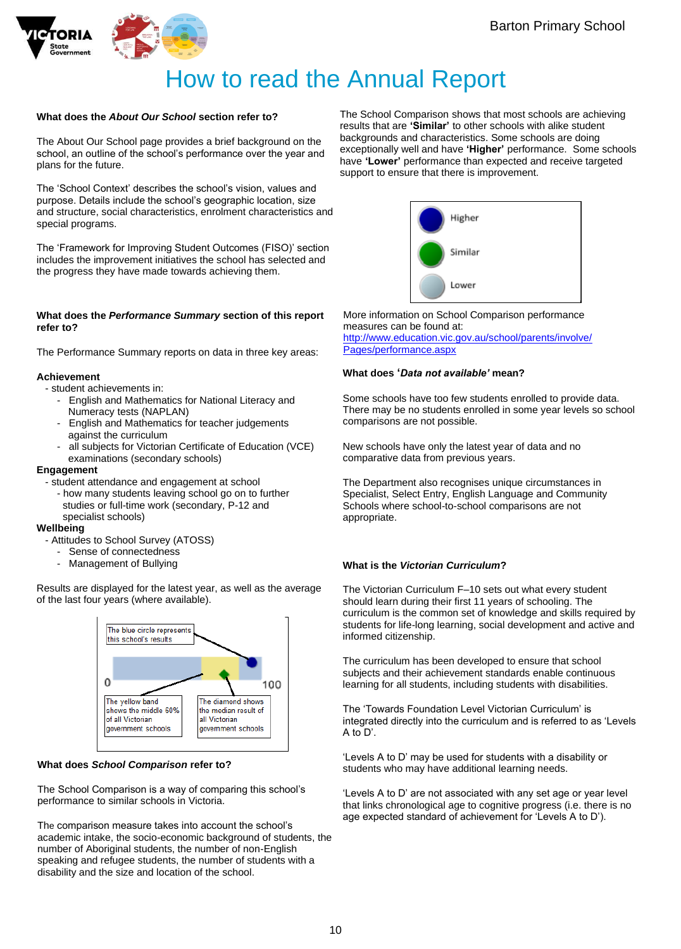



# How to read the Annual Report

### **What does the** *About Our School* **section refer to?**

The About Our School page provides a brief background on the school, an outline of the school's performance over the year and plans for the future.

The 'School Context' describes the school's vision, values and purpose. Details include the school's geographic location, size and structure, social characteristics, enrolment characteristics and special programs.

The 'Framework for Improving Student Outcomes (FISO)' section includes the improvement initiatives the school has selected and the progress they have made towards achieving them.

#### **What does the** *Performance Summary* **section of this report refer to?**

The Performance Summary reports on data in three key areas:

### **Achievement**

- student achievements in:
	- English and Mathematics for National Literacy and Numeracy tests (NAPLAN)
	- English and Mathematics for teacher judgements against the curriculum
	- all subjects for Victorian Certificate of Education (VCE) examinations (secondary schools)

### **Engagement**

- student attendance and engagement at school
	- how many students leaving school go on to further studies or full-time work (secondary, P-12 and specialist schools)

#### **Wellbeing**

- Attitudes to School Survey (ATOSS)
	- Sense of connectedness
	- Management of Bullying

Results are displayed for the latest year, as well as the average of the last four years (where available).



### **What does** *School Comparison* **refer to?**

The School Comparison is a way of comparing this school's performance to similar schools in Victoria.

The comparison measure takes into account the school's academic intake, the socio-economic background of students, the number of Aboriginal students, the number of non-English speaking and refugee students, the number of students with a disability and the size and location of the school.

The School Comparison shows that most schools are achieving results that are **'Similar'** to other schools with alike student backgrounds and characteristics. Some schools are doing exceptionally well and have **'Higher'** performance. Some schools have **'Lower'** performance than expected and receive targeted support to ensure that there is improvement.



More information on School Comparison performance measures can be found at: [http://www.education.vic.gov.au/school/parents/involve/](http://www.education.vic.gov.au/school/parents/involve/Pages/performance.aspx) [Pages/performance.aspx](http://www.education.vic.gov.au/school/parents/involve/Pages/performance.aspx)

### **What does '***Data not available'* **mean?**

Some schools have too few students enrolled to provide data. There may be no students enrolled in some year levels so school comparisons are not possible.

New schools have only the latest year of data and no comparative data from previous years.

The Department also recognises unique circumstances in Specialist, Select Entry, English Language and Community Schools where school-to-school comparisons are not appropriate.

### **What is the** *Victorian Curriculum***?**

The Victorian Curriculum F–10 sets out what every student should learn during their first 11 years of schooling. The curriculum is the common set of knowledge and skills required by students for life-long learning, social development and active and informed citizenship.

The curriculum has been developed to ensure that school subjects and their achievement standards enable continuous learning for all students, including students with disabilities.

The 'Towards Foundation Level Victorian Curriculum' is integrated directly into the curriculum and is referred to as 'Levels A to D'.

'Levels A to D' may be used for students with a disability or students who may have additional learning needs.

'Levels A to D' are not associated with any set age or year level that links chronological age to cognitive progress (i.e. there is no age expected standard of achievement for 'Levels A to D').